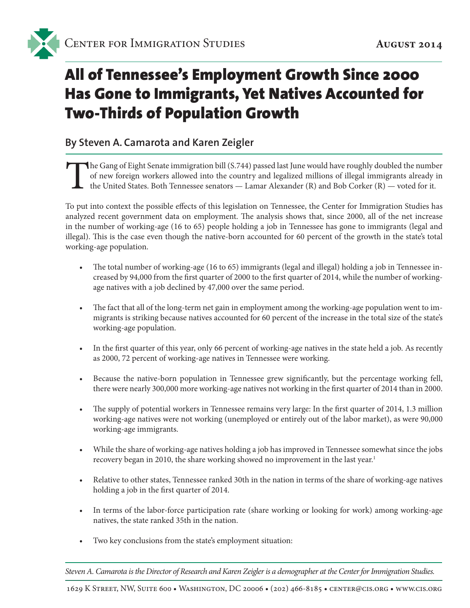

# All of Tennessee's Employment Growth Since 2000 Has Gone to Immigrants, Yet Natives Accounted for Two-Thirds of Population Growth

#### **By Steven A. Camarota and Karen Zeigler**

The Gang of Eight Senate immigration bill (S.744) passed last June would have roughly doubled the number of new foreign workers allowed into the country and legalized millions of illegal immigrants already in the United St of new foreign workers allowed into the country and legalized millions of illegal immigrants already in the United States. Both Tennessee senators — Lamar Alexander (R) and Bob Corker (R) — voted for it.

To put into context the possible effects of this legislation on Tennessee, the Center for Immigration Studies has analyzed recent government data on employment. The analysis shows that, since 2000, all of the net increase in the number of working-age (16 to 65) people holding a job in Tennessee has gone to immigrants (legal and illegal). This is the case even though the native-born accounted for 60 percent of the growth in the state's total working-age population.

- The total number of working-age (16 to 65) immigrants (legal and illegal) holding a job in Tennessee increased by 94,000 from the first quarter of 2000 to the first quarter of 2014, while the number of workingage natives with a job declined by 47,000 over the same period.
- The fact that all of the long-term net gain in employment among the working-age population went to immigrants is striking because natives accounted for 60 percent of the increase in the total size of the state's working-age population.
- In the first quarter of this year, only 66 percent of working-age natives in the state held a job. As recently as 2000, 72 percent of working-age natives in Tennessee were working.
- Because the native-born population in Tennessee grew significantly, but the percentage working fell, there were nearly 300,000 more working-age natives not working in the first quarter of 2014 than in 2000.
- The supply of potential workers in Tennessee remains very large: In the first quarter of 2014, 1.3 million working-age natives were not working (unemployed or entirely out of the labor market), as were 90,000 working-age immigrants.
- While the share of working-age natives holding a job has improved in Tennessee somewhat since the jobs recovery began in 2010, the share working showed no improvement in the last year.<sup>1</sup>
- Relative to other states, Tennessee ranked 30th in the nation in terms of the share of working-age natives holding a job in the first quarter of 2014.
- In terms of the labor-force participation rate (share working or looking for work) among working-age natives, the state ranked 35th in the nation.
- Two key conclusions from the state's employment situation:

*Steven A. Camarota is the Director of Research and Karen Zeigler is a demographer at the Center for Immigration Studies.*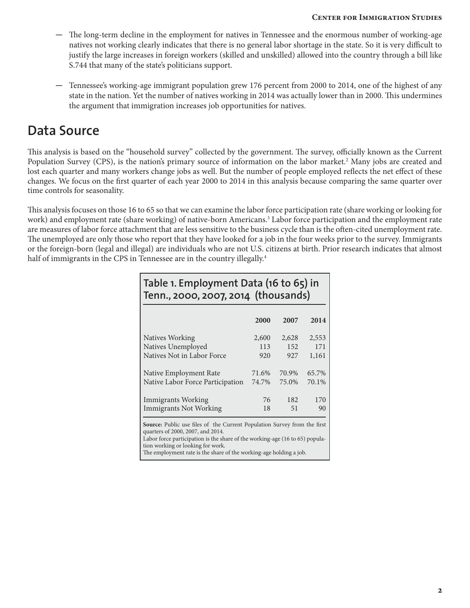#### **Center for Immigration Studies**

- The long-term decline in the employment for natives in Tennessee and the enormous number of working-age natives not working clearly indicates that there is no general labor shortage in the state. So it is very difficult to justify the large increases in foreign workers (skilled and unskilled) allowed into the country through a bill like S.744 that many of the state's politicians support.
- Tennessee's working-age immigrant population grew 176 percent from 2000 to 2014, one of the highest of any state in the nation. Yet the number of natives working in 2014 was actually lower than in 2000. This undermines the argument that immigration increases job opportunities for natives.

### **Data Source**

This analysis is based on the "household survey" collected by the government. The survey, officially known as the Current Population Survey (CPS), is the nation's primary source of information on the labor market.<sup>2</sup> Many jobs are created and lost each quarter and many workers change jobs as well. But the number of people employed reflects the net effect of these changes. We focus on the first quarter of each year 2000 to 2014 in this analysis because comparing the same quarter over time controls for seasonality.

This analysis focuses on those 16 to 65 so that we can examine the labor force participation rate (share working or looking for work) and employment rate (share working) of native-born Americans.<sup>3</sup> Labor force participation and the employment rate are measures of labor force attachment that are less sensitive to the business cycle than is the often-cited unemployment rate. The unemployed are only those who report that they have looked for a job in the four weeks prior to the survey. Immigrants or the foreign-born (legal and illegal) are individuals who are not U.S. citizens at birth. Prior research indicates that almost half of immigrants in the CPS in Tennessee are in the country illegally.<sup>4</sup>

| Table 1. Employment Data (16 to 65) in<br>Tenn., 2000, 2007, 2014 (thousands)                                                                                                                                                                                                                                   |       |       |       |  |  |  |  |  |  |
|-----------------------------------------------------------------------------------------------------------------------------------------------------------------------------------------------------------------------------------------------------------------------------------------------------------------|-------|-------|-------|--|--|--|--|--|--|
|                                                                                                                                                                                                                                                                                                                 | 2000  | 2007  | 2014  |  |  |  |  |  |  |
| Natives Working                                                                                                                                                                                                                                                                                                 | 2,600 | 2,628 | 2,553 |  |  |  |  |  |  |
| Natives Unemployed                                                                                                                                                                                                                                                                                              | 113   | 152   | 171   |  |  |  |  |  |  |
| Natives Not in Labor Force                                                                                                                                                                                                                                                                                      | 920   | 927   | 1,161 |  |  |  |  |  |  |
| Native Employment Rate                                                                                                                                                                                                                                                                                          | 71.6% | 70.9% | 65.7% |  |  |  |  |  |  |
| Native Labor Force Participation                                                                                                                                                                                                                                                                                | 74.7% | 75.0% | 70.1% |  |  |  |  |  |  |
| <b>Immigrants Working</b>                                                                                                                                                                                                                                                                                       | 76    | 182   | 170   |  |  |  |  |  |  |
| <b>Immigrants Not Working</b>                                                                                                                                                                                                                                                                                   | 18    | 51    | 90    |  |  |  |  |  |  |
| <b>Source:</b> Public use files of the Current Population Survey from the first<br>quarters of 2000, 2007, and 2014.<br>Labor force participation is the share of the working-age (16 to 65) popula-<br>tion working or looking for work.<br>The employment rate is the share of the working-age holding a job. |       |       |       |  |  |  |  |  |  |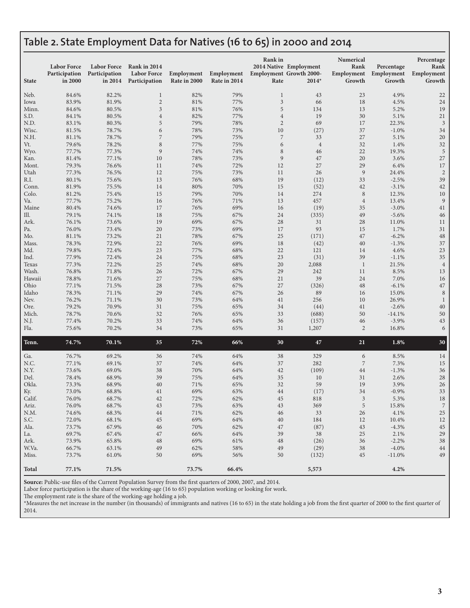#### **Table 2. State Employment Data for Natives (16 to 65) in 2000 and 2014**

| <b>State</b> | <b>Labor Force</b><br>Participation<br>in 2000 | <b>Labor Force</b><br>Participation<br>in 2014 | Rank in 2014<br><b>Labor Force</b><br>Participation | Employment<br>Rate in 2000 | Employment<br>Rate in 2014 | <b>Rank</b> in<br>Rate | 2014 Native Employment<br><b>Employment Growth 2000-</b><br>$2014*$ | Numerical<br>Rank<br>Employment<br>Growth | Percentage<br>Employment<br>Growth | Percentage<br>Rank<br>Employment<br>Growth |
|--------------|------------------------------------------------|------------------------------------------------|-----------------------------------------------------|----------------------------|----------------------------|------------------------|---------------------------------------------------------------------|-------------------------------------------|------------------------------------|--------------------------------------------|
| Neb.         | 84.6%                                          | 82.2%                                          | $\mathbf{1}$                                        | 82%                        | 79%                        | $\mathbf{1}$           | 43                                                                  | 23                                        | 4.9%                               | 22                                         |
| Iowa         | 83.9%                                          | 81.9%                                          | $\sqrt{2}$                                          | 81%                        | 77%                        | $\mathfrak{Z}$         | 66                                                                  | 18                                        | 4.5%                               | 24                                         |
| Minn.        | 84.6%                                          | 80.5%                                          | $\mathfrak{Z}$                                      | 81%                        | 76%                        | 5                      | 134                                                                 | 13                                        | 5.2%                               | 19                                         |
| S.D.         | 84.1%                                          | 80.5%                                          | $\,4$                                               | 82%                        | 77%                        | $\overline{4}$         | 19                                                                  | 30                                        | 5.1%                               | $21\,$                                     |
| N.D.         | 83.1%                                          | 80.3%                                          | $\mathbf 5$                                         | 79%                        | 78%                        | $\overline{c}$         | 69                                                                  | 17                                        | 22.3%                              | 3                                          |
| Wisc.        | 81.5%                                          | 78.7%                                          | 6                                                   | 78%                        | 73%                        | 10                     | (27)                                                                | 37                                        | $-1.0%$                            | 34                                         |
| N.H.         | 81.1%                                          | 78.7%                                          | $\boldsymbol{7}$                                    | 79%                        | 75%                        | $\boldsymbol{7}$       | 33                                                                  | 27                                        | 5.1%                               | 20                                         |
| Vt.          | 79.6%                                          | 78.2%                                          | $\,$ 8 $\,$                                         | 77%                        | 75%                        | 6                      | $\sqrt{4}$                                                          | 32                                        | 1.4%                               | 32                                         |
| Wyo.         | 77.7%                                          | 77.3%                                          | 9                                                   | 74%                        | 74%                        | $\,$ 8 $\,$            | 46                                                                  | 22                                        | 19.3%                              | 5                                          |
| Kan.         | 81.4%                                          | 77.1%                                          | 10                                                  | 78%                        | 73%                        | $\overline{9}$         | 47                                                                  | 20                                        | 3.6%                               | 27                                         |
| Mont.        | 79.3%                                          | 76.6%                                          | 11                                                  | 74%                        | 72%                        | 12                     | 27                                                                  | 29                                        | 6.4%                               | 17                                         |
| Utah<br>R.I. | 77.3%<br>80.1%                                 | 76.5%<br>75.6%                                 | 12<br>13                                            | 75%<br>76%                 | 73%<br>68%                 | 11<br>19               | 26<br>(12)                                                          | $\overline{9}$<br>33                      | 24.4%<br>$-2.5%$                   | $\overline{2}$<br>39                       |
| Conn.        | 81.9%                                          | 75.5%                                          | 14                                                  | 80%                        | 70%                        | 15                     | (52)                                                                | 42                                        | $-3.1%$                            | 42                                         |
| Colo.        | 81.2%                                          | 75.4%                                          | 15                                                  | 79%                        | 70%                        | 14                     | 274                                                                 | $\,8\,$                                   | 12.3%                              | 10                                         |
| Va.          | 77.7%                                          | 75.2%                                          | 16                                                  | 76%                        | 71%                        | 13                     | 457                                                                 | $\overline{4}$                            | 13.4%                              | 9                                          |
| Maine        | 80.4%                                          | 74.6%                                          | 17                                                  | 76%                        | 69%                        | 16                     | (19)                                                                | 35                                        | $-3.0%$                            | 41                                         |
| Ill.         | 79.1%                                          | 74.1%                                          | 18                                                  | 75%                        | 67%                        | 24                     | (335)                                                               | 49                                        | $-5.6%$                            | 46                                         |
| Ark.         | 76.1%                                          | 73.6%                                          | 19                                                  | 69%                        | 67%                        | 28                     | 31                                                                  | 28                                        | 11.0%                              | 11                                         |
| Pa.          | 76.0%                                          | 73.4%                                          | 20                                                  | 73%                        | 69%                        | 17                     | 93                                                                  | 15                                        | 1.7%                               | 31                                         |
| Mo.          | 81.1%                                          | 73.2%                                          | 21                                                  | 78%                        | 67%                        | 25                     | (171)                                                               | 47                                        | $-6.2%$                            | 48                                         |
| Mass.        | 78.3%                                          | 72.9%                                          | 22                                                  | 76%                        | 69%                        | 18                     | (42)                                                                | 40                                        | $-1.3%$                            | 37                                         |
| Md.          | 79.8%                                          | 72.4%                                          | 23                                                  | 77%                        | 68%                        | 22                     | 121                                                                 | 14                                        | 4.6%                               | 23                                         |
| Ind.         | 77.9%                                          | 72.4%                                          | 24                                                  | 75%                        | 68%                        | 23                     | (31)                                                                | 39                                        | $-1.1%$                            | 35                                         |
| Texas        | 77.3%                                          | 72.2%                                          | 25                                                  | 74%                        | 68%                        | 20                     | 2,088                                                               | $\mathbf{1}$                              | 21.5%                              | $\overline{4}$                             |
| Wash.        | 76.8%                                          | 71.8%                                          | 26                                                  | 72%                        | 67%                        | 29                     | 242                                                                 | 11                                        | 8.5%                               | 13                                         |
| Hawaii       | 78.8%                                          | 71.6%                                          | 27                                                  | 75%                        | 68%                        | 21                     | 39                                                                  | 24                                        | 7.0%                               | 16                                         |
| Ohio         | 77.1%                                          | 71.5%                                          | 28                                                  | 73%                        | 67%                        | 27                     | (326)                                                               | 48                                        | $-6.1%$                            | 47                                         |
| Idaho        | 78.3%                                          | 71.1%                                          | 29                                                  | 74%                        | 67%                        | 26                     | 89                                                                  | 16                                        | 15.0%                              | 8                                          |
| Nev.<br>Ore. | 76.2%<br>79.2%                                 | 71.1%<br>70.9%                                 | 30<br>31                                            | 73%<br>75%                 | 64%<br>65%                 | 41<br>34               | 256<br>(44)                                                         | 10<br>41                                  | 26.9%<br>$-2.6%$                   | 1<br>40                                    |
| Mich.        | 78.7%                                          | 70.6%                                          | 32                                                  | 76%                        | 65%                        | 33                     | (688)                                                               | 50                                        | $-14.1%$                           | 50                                         |
| N.J.         | 77.4%                                          | 70.2%                                          | 33                                                  | 74%                        | 64%                        | 36                     | (157)                                                               | 46                                        | $-3.9%$                            | 43                                         |
| Fla.         | 75.6%                                          | 70.2%                                          | 34                                                  | 73%                        | 65%                        | 31                     | 1,207                                                               | $\overline{2}$                            | 16.8%                              | 6                                          |
| Tenn.        | 74.7%                                          | 70.1%                                          | 35                                                  | 72%                        | 66%                        | 30                     | 47                                                                  | 21                                        | 1.8%                               | 30                                         |
| Ga.          | 76.7%                                          | 69.2%                                          | 36                                                  | 74%                        | 64%                        | 38                     | 329                                                                 | 6                                         | 8.5%                               | 14                                         |
| N.C.         | 77.1%                                          | 69.1%                                          | 37                                                  | 74%                        | 64%                        | 37                     | 282                                                                 | $\sqrt{2}$                                | 7.3%                               | 15                                         |
| N.Y.         | 73.6%                                          | 69.0%                                          | 38                                                  | 70%                        | 64%                        | 42                     | (109)                                                               | 44                                        | $-1.3%$                            | 36                                         |
| Del.         | 78.4%                                          | 68.9%                                          | 39                                                  | 75%                        | 64%                        | 35                     | 10                                                                  | 31                                        | 2.6%                               | 28                                         |
| Okla.        | 73.3%                                          | 68.9%                                          | 40                                                  | 71%                        | 65%                        | 32                     | 59                                                                  | 19                                        | 3.9%                               | 26                                         |
| Ky.          | 73.0%                                          | 68.8%                                          | 41                                                  | 69%                        | 63%                        | 44                     | (17)                                                                | 34                                        | $-0.9%$                            | 33                                         |
| Calif.       | 76.0%                                          | 68.7%                                          | 42                                                  | $72\%$                     | 62%                        | $\rm 45$               | 818                                                                 | $\mathfrak{Z}$                            | 5.3%                               | $18\,$                                     |
| Ariz.        | 76.0%                                          | 68.7%                                          | 43                                                  | 73%                        | 63%                        | 43                     | 369                                                                 | 5                                         | 15.8%                              | $\overline{7}$                             |
| N.M.         | 74.6%                                          | 68.3%                                          | 44                                                  | 71%                        | 62%                        | 46                     | 33                                                                  | 26                                        | 4.1%                               | $25\,$                                     |
| S.C.         | 72.0%                                          | 68.1%<br>67.9%                                 | 45                                                  | 69%                        | 64%                        | 40                     | 184                                                                 | 12                                        | 10.4%                              | 12<br>45                                   |
| Ala.<br>La.  | 73.7%<br>69.7%                                 | 67.4%                                          | 46<br>47                                            | 70%<br>66%                 | 62%<br>64%                 | 47<br>39               | (87)<br>38                                                          | 43<br>25                                  | $-4.3%$<br>2.1%                    | 29                                         |
| Ark.         | 73.9%                                          | 65.8%                                          | 48                                                  | 69%                        | 61%                        | 48                     | (26)                                                                | 36                                        | $-2.2%$                            | 38                                         |
| W.Va.        | 66.7%                                          | 63.1%                                          | 49                                                  | 62%                        | 58%                        | 49                     | (29)                                                                | 38                                        | $-4.0\%$                           | 44                                         |
| Miss.        | 73.7%                                          | 61.0%                                          | 50                                                  | 69%                        | 56%                        | 50                     | (132)                                                               | 45                                        | $-11.0%$                           | 49                                         |
| <b>Total</b> | 77.1%                                          | 71.5%                                          |                                                     | 73.7%                      | 66.4%                      |                        | 5,573                                                               |                                           | 4.2%                               |                                            |

**Source:** Public-use files of the Current Population Survey from the first quarters of 2000, 2007, and 2014.

Labor force participation is the share of the working-age (16 to 65) population working or looking for work.

The employment rate is the share of the working-age holding a job.

\*Measures the net increase in the number (in thousands) of immigrants and natives (16 to 65) in the state holding a job from the first quarter of 2000 to the first quarter of 2014.